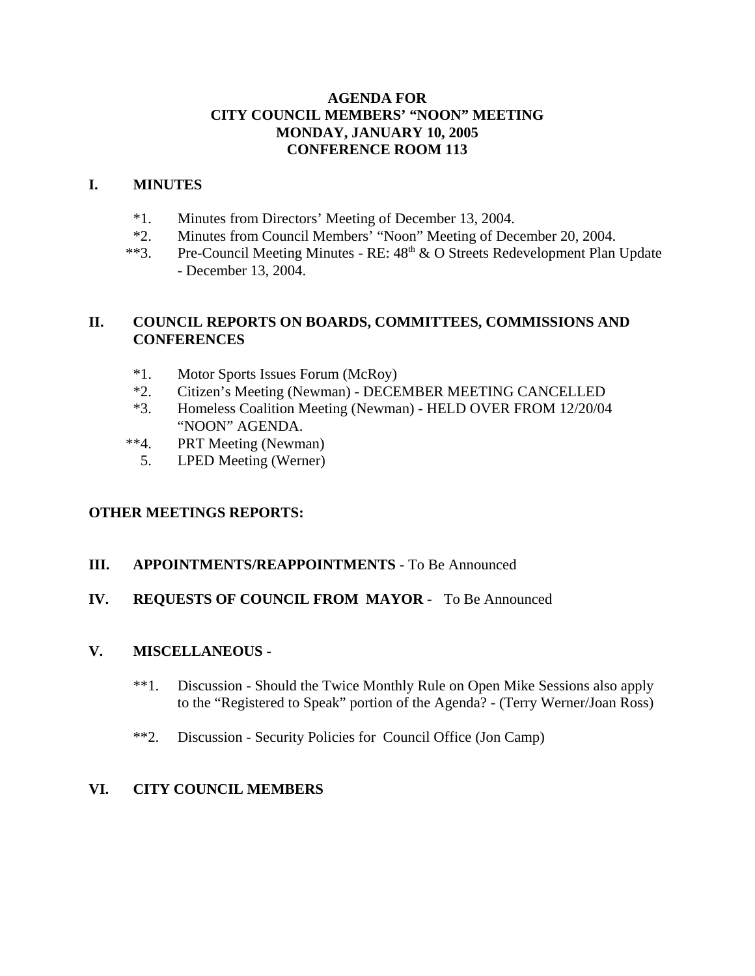## **AGENDA FOR CITY COUNCIL MEMBERS' "NOON" MEETING MONDAY, JANUARY 10, 2005 CONFERENCE ROOM 113**

### **I. MINUTES**

- \*1. Minutes from Directors' Meeting of December 13, 2004.
- \*2. Minutes from Council Members' "Noon" Meeting of December 20, 2004.
- \*\*3. Pre-Council Meeting Minutes RE:  $48<sup>th</sup>$  & O Streets Redevelopment Plan Update - December 13, 2004.

## **II. COUNCIL REPORTS ON BOARDS, COMMITTEES, COMMISSIONS AND CONFERENCES**

- \*1. Motor Sports Issues Forum (McRoy)
- \*2. Citizen's Meeting (Newman) DECEMBER MEETING CANCELLED
- \*3. Homeless Coalition Meeting (Newman) HELD OVER FROM 12/20/04 "NOON" AGENDA.
- \*\*4. PRT Meeting (Newman)
	- 5. LPED Meeting (Werner)

# **OTHER MEETINGS REPORTS:**

## **III. APPOINTMENTS/REAPPOINTMENTS** - To Be Announced

## **IV. REQUESTS OF COUNCIL FROM MAYOR -** To Be Announced

## **V. MISCELLANEOUS -**

- \*\*1. Discussion Should the Twice Monthly Rule on Open Mike Sessions also apply to the "Registered to Speak" portion of the Agenda? - (Terry Werner/Joan Ross)
- \*\*2. Discussion Security Policies for Council Office (Jon Camp)

# **VI. CITY COUNCIL MEMBERS**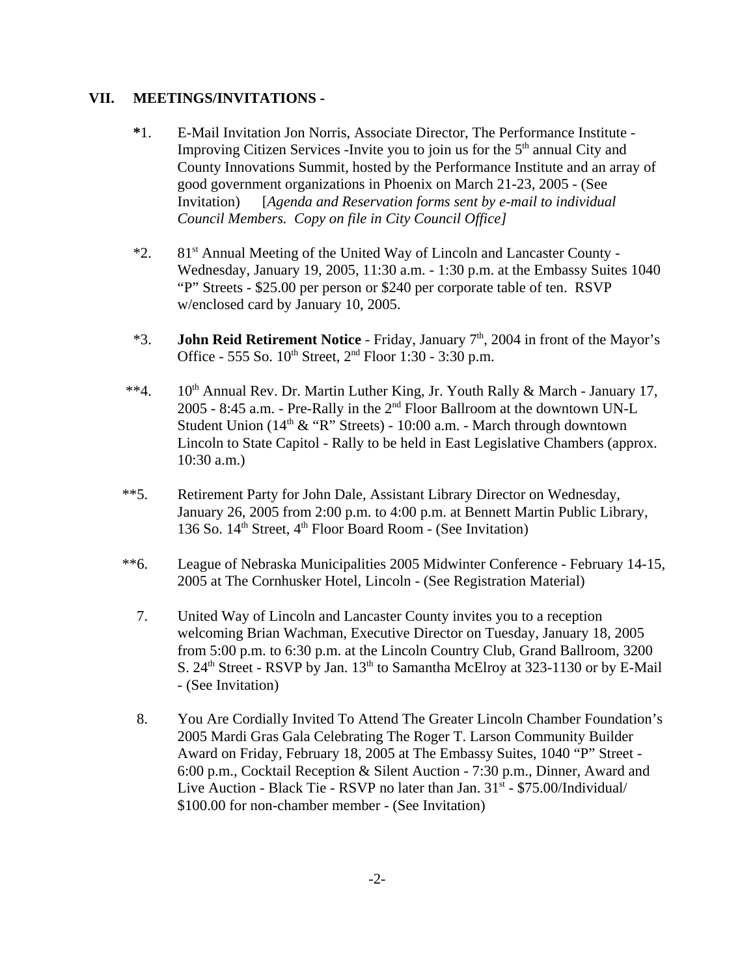#### **VII. MEETINGS/INVITATIONS -**

- **\***1. E-Mail Invitation Jon Norris, Associate Director, The Performance Institute Improving Citizen Services -Invite you to join us for the  $5<sup>th</sup>$  annual City and County Innovations Summit, hosted by the Performance Institute and an array of good government organizations in Phoenix on March 21-23, 2005 - (See Invitation) [*Agenda and Reservation forms sent by e-mail to individual Council Members. Copy on file in City Council Office]*
- \*2. 81st Annual Meeting of the United Way of Lincoln and Lancaster County Wednesday, January 19, 2005, 11:30 a.m. - 1:30 p.m. at the Embassy Suites 1040 "P" Streets - \$25.00 per person or \$240 per corporate table of ten. RSVP w/enclosed card by January 10, 2005.
- \*3. **John Reid Retirement Notice** Friday, January 7<sup>th</sup>, 2004 in front of the Mayor's Office - 555 So.  $10^{th}$  Street,  $2^{nd}$  Floor 1:30 - 3:30 p.m.
- \*\*4.  $10^{th}$  Annual Rev. Dr. Martin Luther King, Jr. Youth Rally & March January 17, 2005 - 8:45 a.m. - Pre-Rally in the 2nd Floor Ballroom at the downtown UN-L Student Union  $(14<sup>th</sup> \& "R" Streets) - 10:00 a.m.$  - March through downtown Lincoln to State Capitol - Rally to be held in East Legislative Chambers (approx. 10:30 a.m.)
- \*\*5. Retirement Party for John Dale, Assistant Library Director on Wednesday, January 26, 2005 from 2:00 p.m. to 4:00 p.m. at Bennett Martin Public Library, 136 So.  $14<sup>th</sup>$  Street,  $4<sup>th</sup>$  Floor Board Room - (See Invitation)
- \*\*6. League of Nebraska Municipalities 2005 Midwinter Conference February 14-15, 2005 at The Cornhusker Hotel, Lincoln - (See Registration Material)
	- 7. United Way of Lincoln and Lancaster County invites you to a reception welcoming Brian Wachman, Executive Director on Tuesday, January 18, 2005 from 5:00 p.m. to 6:30 p.m. at the Lincoln Country Club, Grand Ballroom, 3200 S.  $24<sup>th</sup> Street - RSVP by Jan. 13<sup>th</sup> to Samantha McElroy at 323-1130 or by E-Mail$ - (See Invitation)
	- 8. You Are Cordially Invited To Attend The Greater Lincoln Chamber Foundation's 2005 Mardi Gras Gala Celebrating The Roger T. Larson Community Builder Award on Friday, February 18, 2005 at The Embassy Suites, 1040 "P" Street - 6:00 p.m., Cocktail Reception & Silent Auction - 7:30 p.m., Dinner, Award and Live Auction - Black Tie - RSVP no later than Jan.  $31<sup>st</sup>$  - \$75.00/Individual/ \$100.00 for non-chamber member - (See Invitation)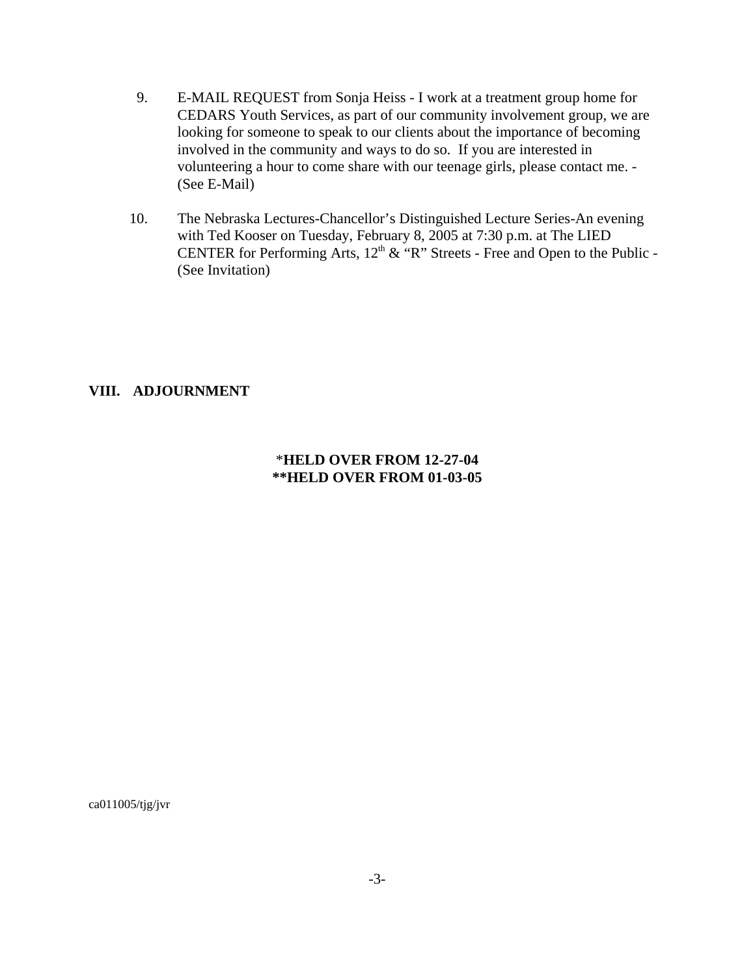- 9. E-MAIL REQUEST from Sonja Heiss I work at a treatment group home for CEDARS Youth Services, as part of our community involvement group, we are looking for someone to speak to our clients about the importance of becoming involved in the community and ways to do so. If you are interested in volunteering a hour to come share with our teenage girls, please contact me. - (See E-Mail)
- 10. The Nebraska Lectures-Chancellor's Distinguished Lecture Series-An evening with Ted Kooser on Tuesday, February 8, 2005 at 7:30 p.m. at The LIED CENTER for Performing Arts,  $12<sup>th</sup>$  & "R" Streets - Free and Open to the Public -(See Invitation)

#### **VIII. ADJOURNMENT**

#### \***HELD OVER FROM 12-27-04 \*\*HELD OVER FROM 01-03-05**

ca011005/tjg/jvr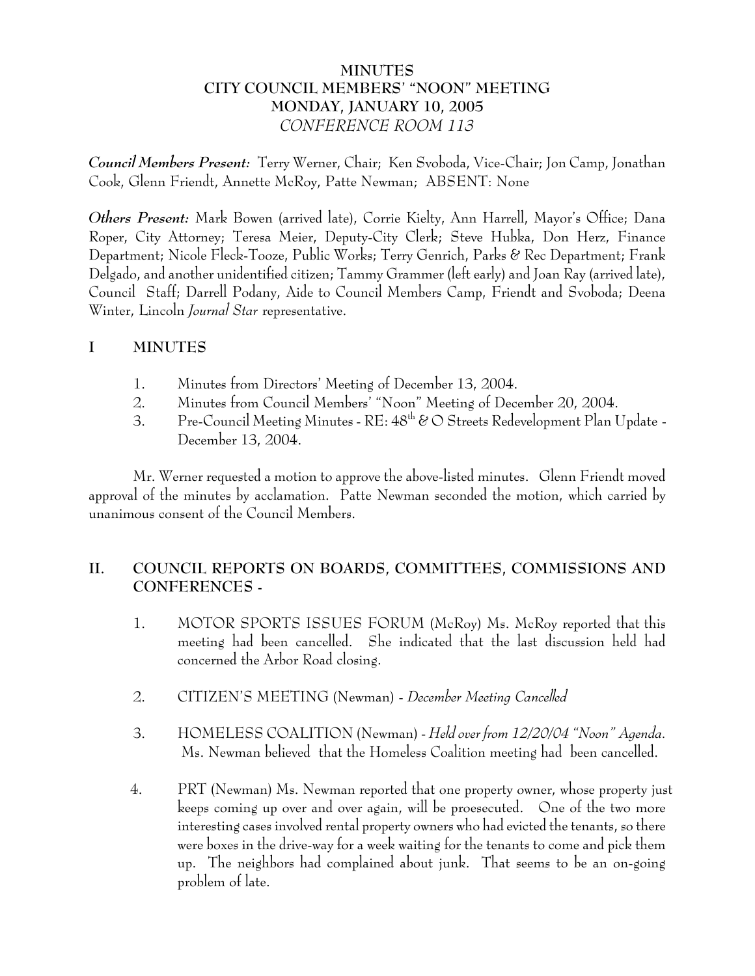# **MINUTES CITY COUNCIL MEMBERS' "NOON" MEETING MONDAY, JANUARY 10, 2005** *CONFERENCE ROOM 113*

*Council Members Present:* Terry Werner, Chair; Ken Svoboda, Vice-Chair; Jon Camp, Jonathan Cook, Glenn Friendt, Annette McRoy, Patte Newman; ABSENT: None

*Others Present:* Mark Bowen (arrived late), Corrie Kielty, Ann Harrell, Mayor's Office; Dana Roper, City Attorney; Teresa Meier, Deputy-City Clerk; Steve Hubka, Don Herz, Finance Department; Nicole Fleck-Tooze, Public Works; Terry Genrich, Parks & Rec Department; Frank Delgado, and another unidentified citizen; Tammy Grammer (left early) and Joan Ray (arrived late), Council Staff; Darrell Podany, Aide to Council Members Camp, Friendt and Svoboda; Deena Winter, Lincoln *Journal Star* representative.

# **I MINUTES**

- 1. Minutes from Directors' Meeting of December 13, 2004.
- 2. Minutes from Council Members' "Noon" Meeting of December 20, 2004.
- 3. Pre-Council Meeting Minutes  $RE: 48^{th}$  & O Streets Redevelopment Plan Update -December 13, 2004.

Mr. Werner requested a motion to approve the above-listed minutes. Glenn Friendt moved approval of the minutes by acclamation. Patte Newman seconded the motion, which carried by unanimous consent of the Council Members.

# **II. COUNCIL REPORTS ON BOARDS, COMMITTEES, COMMISSIONS AND CONFERENCES -**

- 1. MOTOR SPORTS ISSUES FORUM (McRoy) Ms. McRoy reported that this meeting had been cancelled. She indicated that the last discussion held had concerned the Arbor Road closing.
- 2. CITIZEN'S MEETING (Newman) *December Meeting Cancelled*
- 3. HOMELESS COALITION (Newman) *Held over from 12/20/04 "Noon" Agenda.* Ms. Newman believed that the Homeless Coalition meeting had been cancelled.
- 4. PRT (Newman) Ms. Newman reported that one property owner, whose property just keeps coming up over and over again, will be proesecuted. One of the two more interesting cases involved rental property owners who had evicted the tenants, so there were boxes in the drive-way for a week waiting for the tenants to come and pick them up. The neighbors had complained about junk. That seems to be an on-going problem of late.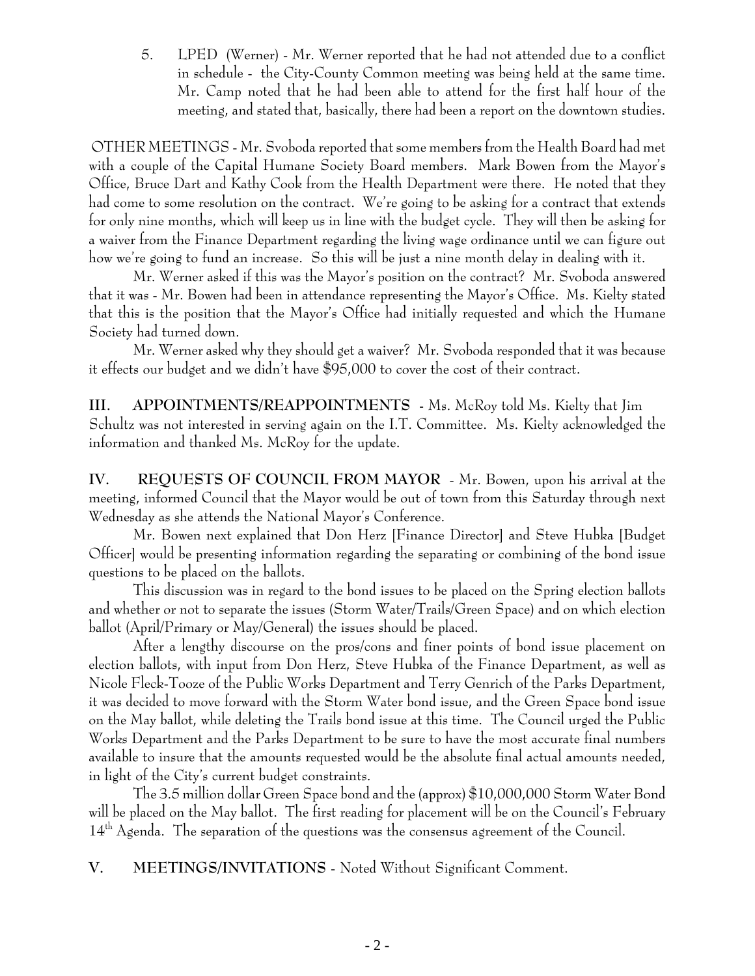5. LPED (Werner) - Mr. Werner reported that he had not attended due to a conflict in schedule - the City-County Common meeting was being held at the same time. Mr. Camp noted that he had been able to attend for the first half hour of the meeting, and stated that, basically, there had been a report on the downtown studies.

 OTHER MEETINGS - Mr. Svoboda reported that some members from the Health Board had met with a couple of the Capital Humane Society Board members. Mark Bowen from the Mayor's Office, Bruce Dart and Kathy Cook from the Health Department were there. He noted that they had come to some resolution on the contract. We're going to be asking for a contract that extends for only nine months, which will keep us in line with the budget cycle. They will then be asking for a waiver from the Finance Department regarding the living wage ordinance until we can figure out how we're going to fund an increase. So this will be just a nine month delay in dealing with it.

Mr. Werner asked if this was the Mayor's position on the contract? Mr. Svoboda answered that it was - Mr. Bowen had been in attendance representing the Mayor's Office. Ms. Kielty stated that this is the position that the Mayor's Office had initially requested and which the Humane Society had turned down.

Mr. Werner asked why they should get a waiver? Mr. Svoboda responded that it was because it effects our budget and we didn't have \$95,000 to cover the cost of their contract.

**III. APPOINTMENTS/REAPPOINTMENTS -** Ms. McRoy told Ms. Kielty that Jim Schultz was not interested in serving again on the I.T. Committee. Ms. Kielty acknowledged the information and thanked Ms. McRoy for the update.

**IV. REQUESTS OF COUNCIL FROM MAYOR** - Mr. Bowen, upon his arrival at the meeting, informed Council that the Mayor would be out of town from this Saturday through next Wednesday as she attends the National Mayor's Conference.

Mr. Bowen next explained that Don Herz [Finance Director] and Steve Hubka [Budget Officer] would be presenting information regarding the separating or combining of the bond issue questions to be placed on the ballots.

This discussion was in regard to the bond issues to be placed on the Spring election ballots and whether or not to separate the issues (Storm Water/Trails/Green Space) and on which election ballot (April/Primary or May/General) the issues should be placed.

After a lengthy discourse on the pros/cons and finer points of bond issue placement on election ballots, with input from Don Herz, Steve Hubka of the Finance Department, as well as Nicole Fleck-Tooze of the Public Works Department and Terry Genrich of the Parks Department, it was decided to move forward with the Storm Water bond issue, and the Green Space bond issue on the May ballot, while deleting the Trails bond issue at this time. The Council urged the Public Works Department and the Parks Department to be sure to have the most accurate final numbers available to insure that the amounts requested would be the absolute final actual amounts needed, in light of the City's current budget constraints.

The 3.5 million dollar Green Space bond and the (approx) \$10,000,000 Storm Water Bond will be placed on the May ballot. The first reading for placement will be on the Council's February  $14<sup>th</sup>$  Agenda. The separation of the questions was the consensus agreement of the Council.

**V. MEETINGS/INVITATIONS** - Noted Without Significant Comment.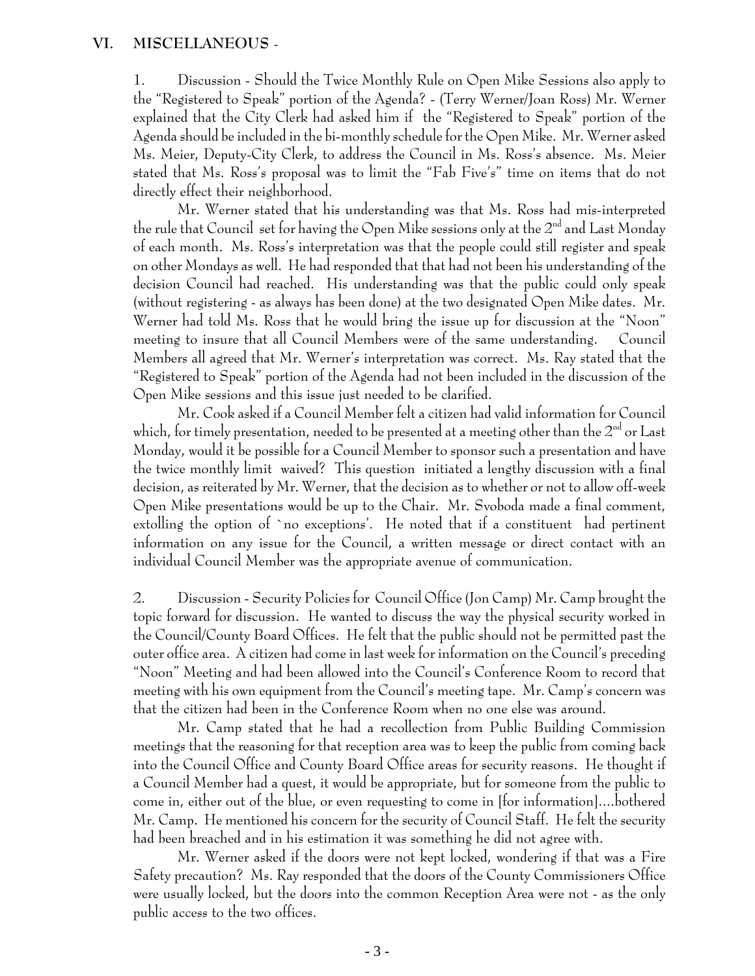## **VI. MISCELLANEOUS** -

1. Discussion - Should the Twice Monthly Rule on Open Mike Sessions also apply to the "Registered to Speak" portion of the Agenda? - (Terry Werner/Joan Ross) Mr. Werner explained that the City Clerk had asked him if the "Registered to Speak" portion of the Agenda should be included in the bi-monthly schedule for the Open Mike. Mr. Werner asked Ms. Meier, Deputy-City Clerk, to address the Council in Ms. Ross's absence. Ms. Meier stated that Ms. Ross's proposal was to limit the "Fab Five's" time on items that do not directly effect their neighborhood.

Mr. Werner stated that his understanding was that Ms. Ross had mis-interpreted the rule that Council set for having the Open Mike sessions only at the  $2^{\mathrm{nd}}$  and Last Monday of each month. Ms. Ross's interpretation was that the people could still register and speak on other Mondays as well. He had responded that that had not been his understanding of the decision Council had reached. His understanding was that the public could only speak (without registering - as always has been done) at the two designated Open Mike dates. Mr. Werner had told Ms. Ross that he would bring the issue up for discussion at the "Noon" meeting to insure that all Council Members were of the same understanding. Council Members all agreed that Mr. Werner's interpretation was correct. Ms. Ray stated that the "Registered to Speak" portion of the Agenda had not been included in the discussion of the Open Mike sessions and this issue just needed to be clarified.

Mr. Cook asked if a Council Member felt a citizen had valid information for Council which, for timely presentation, needed to be presented at a meeting other than the  $2^{\text{nd}}$  or Last Monday, would it be possible for a Council Member to sponsor such a presentation and have the twice monthly limit waived? This question initiated a lengthy discussion with a final decision, as reiterated by Mr. Werner, that the decision as to whether or not to allow off-week Open Mike presentations would be up to the Chair. Mr. Svoboda made a final comment, extolling the option of `no exceptions'. He noted that if a constituent had pertinent information on any issue for the Council, a written message or direct contact with an individual Council Member was the appropriate avenue of communication.

2. Discussion - Security Policies for Council Office (Jon Camp) Mr. Camp brought the topic forward for discussion. He wanted to discuss the way the physical security worked in the Council/County Board Offices. He felt that the public should not be permitted past the outer office area. A citizen had come in last week for information on the Council's preceding "Noon" Meeting and had been allowed into the Council's Conference Room to record that meeting with his own equipment from the Council's meeting tape. Mr. Camp's concern was that the citizen had been in the Conference Room when no one else was around.

Mr. Camp stated that he had a recollection from Public Building Commission meetings that the reasoning for that reception area was to keep the public from coming back into the Council Office and County Board Office areas for security reasons. He thought if a Council Member had a quest, it would be appropriate, but for someone from the public to come in, either out of the blue, or even requesting to come in [for information]....bothered Mr. Camp. He mentioned his concern for the security of Council Staff. He felt the security had been breached and in his estimation it was something he did not agree with.

Mr. Werner asked if the doors were not kept locked, wondering if that was a Fire Safety precaution? Ms. Ray responded that the doors of the County Commissioners Office were usually locked, but the doors into the common Reception Area were not - as the only public access to the two offices.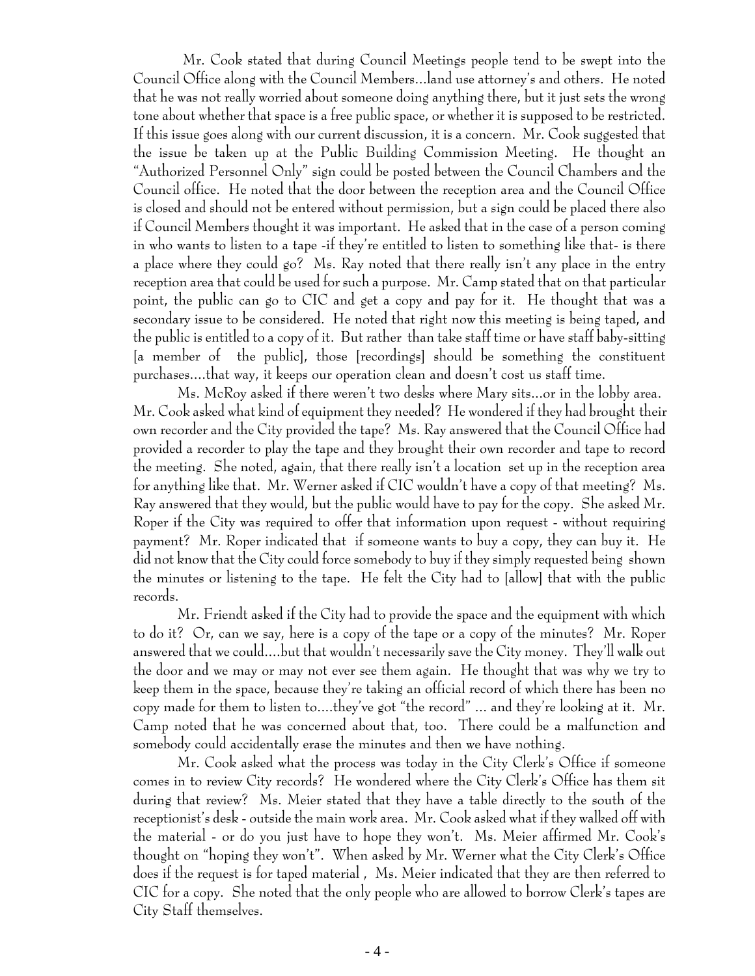Mr. Cook stated that during Council Meetings people tend to be swept into the Council Office along with the Council Members...land use attorney's and others. He noted that he was not really worried about someone doing anything there, but it just sets the wrong tone about whether that space is a free public space, or whether it is supposed to be restricted. If this issue goes along with our current discussion, it is a concern. Mr. Cook suggested that the issue be taken up at the Public Building Commission Meeting. He thought an "Authorized Personnel Only" sign could be posted between the Council Chambers and the Council office. He noted that the door between the reception area and the Council Office is closed and should not be entered without permission, but a sign could be placed there also if Council Members thought it was important. He asked that in the case of a person coming in who wants to listen to a tape -if they're entitled to listen to something like that- is there a place where they could go? Ms. Ray noted that there really isn't any place in the entry reception area that could be used for such a purpose. Mr. Camp stated that on that particular point, the public can go to CIC and get a copy and pay for it. He thought that was a secondary issue to be considered. He noted that right now this meeting is being taped, and the public is entitled to a copy of it. But rather than take staff time or have staff baby-sitting [a member of the public], those [recordings] should be something the constituent purchases....that way, it keeps our operation clean and doesn't cost us staff time.

Ms. McRoy asked if there weren't two desks where Mary sits...or in the lobby area. Mr. Cook asked what kind of equipment they needed? He wondered if they had brought their own recorder and the City provided the tape? Ms. Ray answered that the Council Office had provided a recorder to play the tape and they brought their own recorder and tape to record the meeting. She noted, again, that there really isn't a location set up in the reception area for anything like that. Mr. Werner asked if CIC wouldn't have a copy of that meeting? Ms. Ray answered that they would, but the public would have to pay for the copy. She asked Mr. Roper if the City was required to offer that information upon request - without requiring payment? Mr. Roper indicated that if someone wants to buy a copy, they can buy it. He did not know that the City could force somebody to buy if they simply requested being shown the minutes or listening to the tape. He felt the City had to [allow] that with the public records.

Mr. Friendt asked if the City had to provide the space and the equipment with which to do it? Or, can we say, here is a copy of the tape or a copy of the minutes? Mr. Roper answered that we could....but that wouldn't necessarily save the City money. They'll walk out the door and we may or may not ever see them again. He thought that was why we try to keep them in the space, because they're taking an official record of which there has been no copy made for them to listen to....they've got "the record" ... and they're looking at it. Mr. Camp noted that he was concerned about that, too. There could be a malfunction and somebody could accidentally erase the minutes and then we have nothing.

Mr. Cook asked what the process was today in the City Clerk's Office if someone comes in to review City records? He wondered where the City Clerk's Office has them sit during that review? Ms. Meier stated that they have a table directly to the south of the receptionist's desk - outside the main work area. Mr. Cook asked what if they walked off with the material - or do you just have to hope they won't. Ms. Meier affirmed Mr. Cook's thought on "hoping they won't". When asked by Mr. Werner what the City Clerk's Office does if the request is for taped material , Ms. Meier indicated that they are then referred to CIC for a copy. She noted that the only people who are allowed to borrow Clerk's tapes are City Staff themselves.